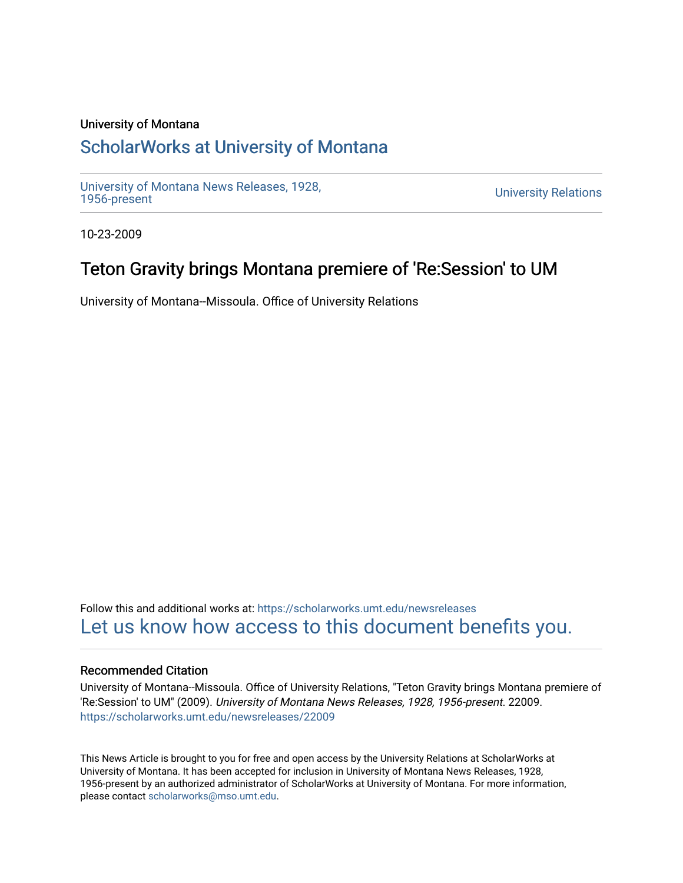#### University of Montana

## [ScholarWorks at University of Montana](https://scholarworks.umt.edu/)

[University of Montana News Releases, 1928,](https://scholarworks.umt.edu/newsreleases) 

**University Relations** 

10-23-2009

## Teton Gravity brings Montana premiere of 'Re:Session' to UM

University of Montana--Missoula. Office of University Relations

Follow this and additional works at: [https://scholarworks.umt.edu/newsreleases](https://scholarworks.umt.edu/newsreleases?utm_source=scholarworks.umt.edu%2Fnewsreleases%2F22009&utm_medium=PDF&utm_campaign=PDFCoverPages) [Let us know how access to this document benefits you.](https://goo.gl/forms/s2rGfXOLzz71qgsB2) 

#### Recommended Citation

University of Montana--Missoula. Office of University Relations, "Teton Gravity brings Montana premiere of 'Re:Session' to UM" (2009). University of Montana News Releases, 1928, 1956-present. 22009. [https://scholarworks.umt.edu/newsreleases/22009](https://scholarworks.umt.edu/newsreleases/22009?utm_source=scholarworks.umt.edu%2Fnewsreleases%2F22009&utm_medium=PDF&utm_campaign=PDFCoverPages) 

This News Article is brought to you for free and open access by the University Relations at ScholarWorks at University of Montana. It has been accepted for inclusion in University of Montana News Releases, 1928, 1956-present by an authorized administrator of ScholarWorks at University of Montana. For more information, please contact [scholarworks@mso.umt.edu.](mailto:scholarworks@mso.umt.edu)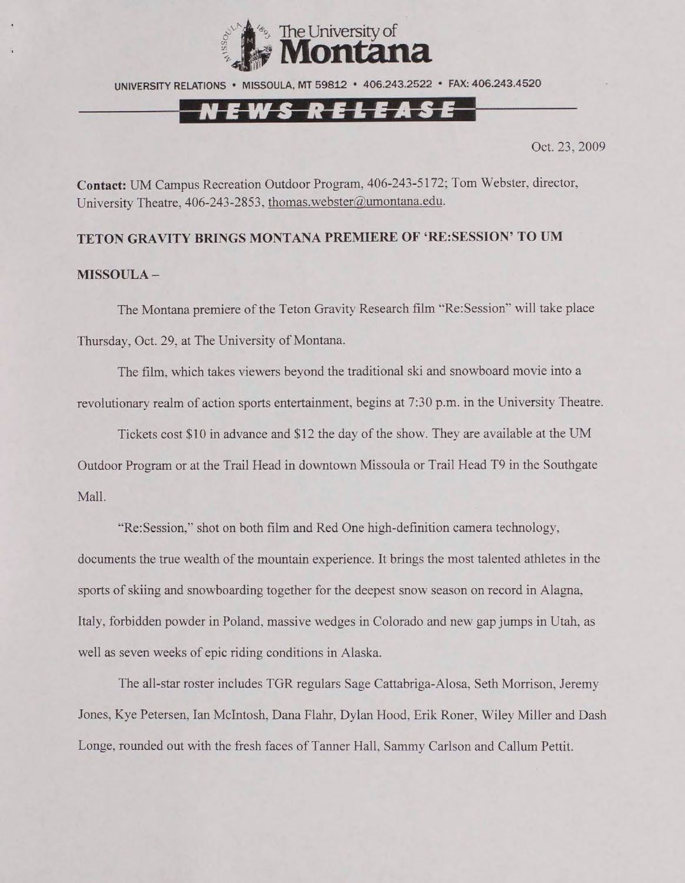

UNIVERSITY RELATIONS • MISSOULA. MT 59812 • 406.243.2522 • FAX: 406.243.4520

# Tf *LM.*

Oct. 23, 2009

**Contact:** UM Campus Recreation Outdoor Program, 406-243-5172; Tom Webster, director, University Theatre, 406-243-2853, [thomas.webster@umontana.edu](mailto:thomas.webster@umontana.edu).

### TETON GRAVITY BRINGS MONTANA PREMIERE OF 'RE:SESSION' TO UM **MISSOULA -**

The Montana premiere of the Teton Gravity Research film "Re:Session" will take place Thursday, Oct. 29, at The University of Montana.

The film, which takes viewers beyond the traditional ski and snowboard movie into a revolutionary realm of action sports entertainment, begins at 7:30 p.m. in the University Theatre.

Tickets cost \$10 in advance and \$12 the day of the show. They are available at the UM Outdoor Program or at the Trail Head in downtown Missoula or Trail Head T9 in the Southgate Mall.

"Re:Session," shot on both film and Red One high-definition camera technology, documents the true wealth of the mountain experience. It brings the most talented athletes in the sports of skiing and snowboarding together for the deepest snow season on record in Alagna, Italy, forbidden powder in Poland, massive wedges in Colorado and new gap jumps in Utah, as well as seven weeks of epic riding conditions in Alaska.

The all-star roster includes TGR regulars Sage Cattabriga-Alosa, Seth Morrison. Jeremy Jones, Kye Petersen. Ian McIntosh, Dana Flahr, Dylan Hood, Erik Roner. Wiley Miller and Dash Longe, rounded out with the fresh faces of Tanner Hall. Sammy Carlson and Callum Pettit.